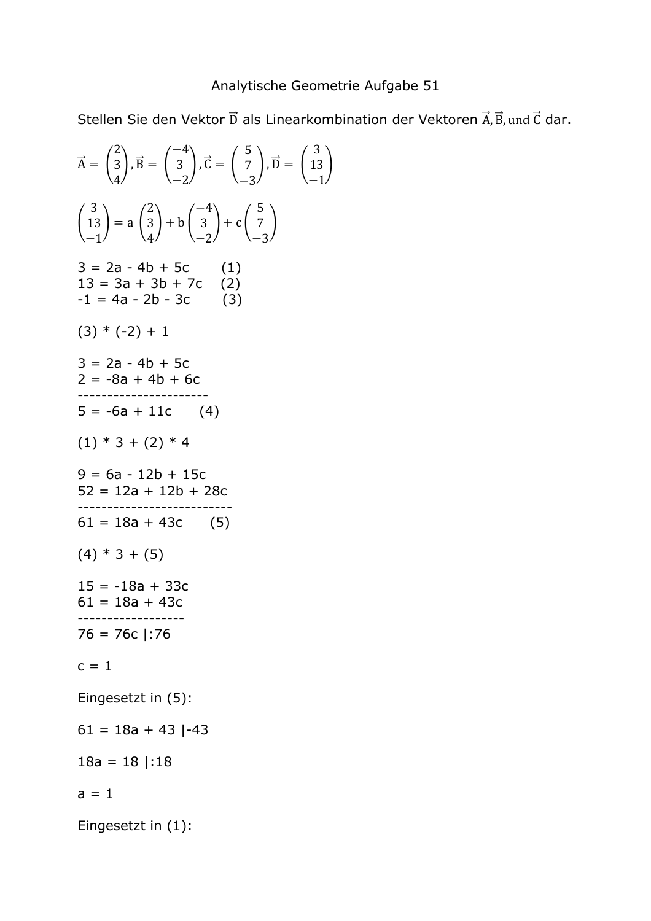## Analytische Geometrie Aufgabe 51

Stellen Sie den Vektor D als Linearkombination der Vektoren A, B, und C dar.

 $\frac{1}{2}$ 

$$
\vec{A} = \begin{pmatrix} 2 \\ 3 \\ 4 \end{pmatrix}, \vec{B} = \begin{pmatrix} -4 \\ 3 \\ -2 \end{pmatrix}, \vec{C} = \begin{pmatrix} 5 \\ 7 \\ -3 \end{pmatrix}, \vec{D} = \begin{pmatrix} 3 \\ 13 \\ -1 \end{pmatrix}
$$
  
\n
$$
\begin{pmatrix} 3 \\ 13 \\ -1 \end{pmatrix} = a \begin{pmatrix} 2 \\ 3 \\ 4 \end{pmatrix} + b \begin{pmatrix} -4 \\ 3 \\ -2 \end{pmatrix} + c \begin{pmatrix} 5 \\ 7 \\ -3 \end{pmatrix}
$$
  
\n
$$
3 = 2a - 4b + 5c
$$
  
\n
$$
-1 = 4a - 2b - 3c
$$
  
\n
$$
(3) * (-2) + 1
$$
  
\n
$$
3 = 2a - 4b + 5c
$$
  
\n
$$
2 = -8a + 4b + 6c
$$
  
\n
$$
3 = 2a - 4b + 5c
$$
  
\n
$$
2 = -8a + 4b + 6c
$$
  
\n
$$
4 = 1
$$
  
\n
$$
5 = -6a + 11c
$$
  
\n
$$
(4)
$$
  
\n
$$
(1) * 3 + (2) * 4
$$
  
\n
$$
9 = 6a - 12b + 15c
$$
  
\n
$$
52 = 12a + 12b + 28c
$$
  
\n
$$
52 = 12a + 12b + 28c
$$
  
\n
$$
61 = 18a + 43c
$$
  
\n
$$
61 = 18a + 43c
$$
  
\n
$$
61 = 18a + 43c
$$
  
\n
$$
3 = -16c
$$
  
\n
$$
61 = 18a + 43
$$
  
\n
$$
18a = 18 | : 18
$$
  
\n
$$
a = 1
$$
  
\nEingesetzt in (5):  
\n
$$
61 = 18a + 43 | -43
$$
  
\n
$$
18a = 18 | : 18
$$
  
\n